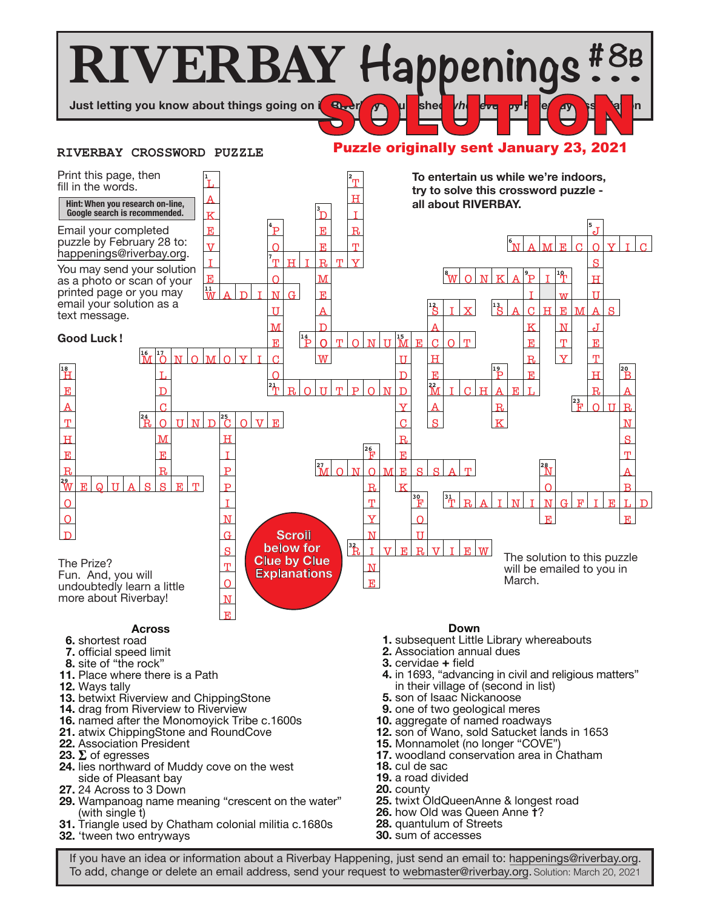# **RIVERBAY Happenings . . . Just letting you know about things going on in River** Solution of the Contract of the Contract of the Contract of the Contract of the Contract of the Contract of the Contract of the Contract of the Contract of the Contract of the Contract of the Contract of the Contract of th

### **RIVERBAY CROSSWORD PUZZLE**

# Puzzle originally sent January 23, 2021



**32.** 'tween two entryways

**30.** sum of accesses

If you have an idea or information about a Riverbay Happening, just send an email to: happenings@riverbay.org. To add, change or delete an email address, send your request to webmaster@riverbay.org. Solution: March 20, 2021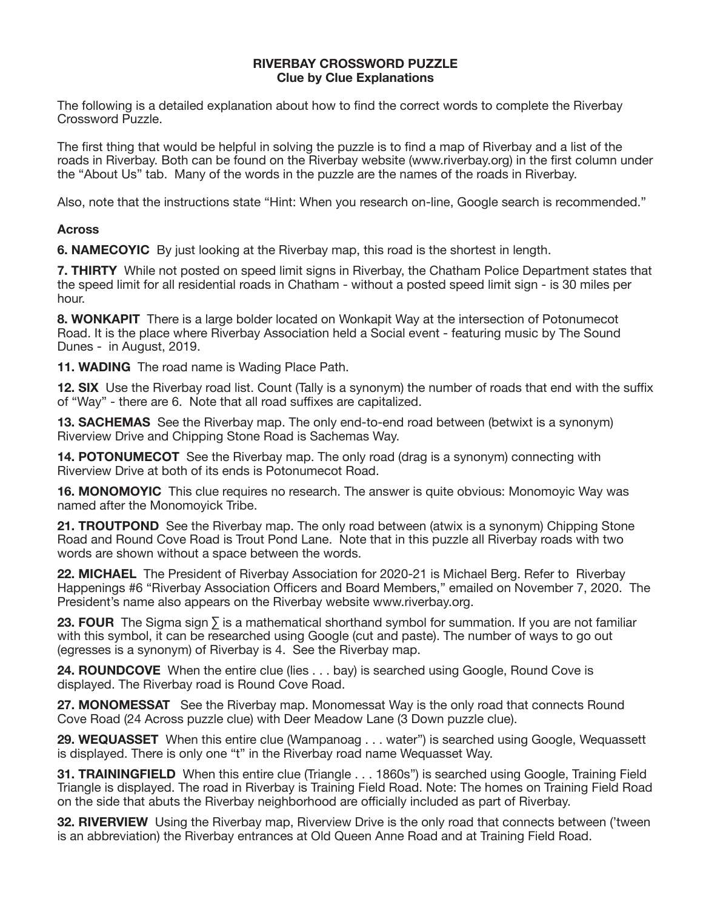#### **RIVERBAY CROSSWORD PUZZLE Clue by Clue Explanations**

The following is a detailed explanation about how to find the correct words to complete the Riverbay Crossword Puzzle.

The first thing that would be helpful in solving the puzzle is to find a map of Riverbay and a list of the roads in Riverbay. Both can be found on the Riverbay website (www.riverbay.org) in the first column under the "About Us" tab. Many of the words in the puzzle are the names of the roads in Riverbay.

Also, note that the instructions state "Hint: When you research on-line, Google search is recommended."

# **Across**

**6. NAMECOYIC** By just looking at the Riverbay map, this road is the shortest in length.

**7. THIRTY** While not posted on speed limit signs in Riverbay, the Chatham Police Department states that the speed limit for all residential roads in Chatham - without a posted speed limit sign - is 30 miles per hour.

**8. WONKAPIT** There is a large bolder located on Wonkapit Way at the intersection of Potonumecot Road. It is the place where Riverbay Association held a Social event - featuring music by The Sound Dunes - in August, 2019.

**11. WADING** The road name is Wading Place Path.

**12. SIX** Use the Riverbay road list. Count (Tally is a synonym) the number of roads that end with the suffix of "Way" - there are 6. Note that all road suffixes are capitalized.

**13. SACHEMAS** See the Riverbay map. The only end-to-end road between (betwixt is a synonym) Riverview Drive and Chipping Stone Road is Sachemas Way.

**14. POTONUMECOT** See the Riverbay map. The only road (drag is a synonym) connecting with Riverview Drive at both of its ends is Potonumecot Road.

**16. MONOMOYIC** This clue requires no research. The answer is quite obvious: Monomoyic Way was named after the Monomoyick Tribe.

**21. TROUTPOND** See the Riverbay map. The only road between (atwix is a synonym) Chipping Stone Road and Round Cove Road is Trout Pond Lane. Note that in this puzzle all Riverbay roads with two words are shown without a space between the words.

**22. MICHAEL** The President of Riverbay Association for 2020-21 is Michael Berg. Refer to Riverbay Happenings #6 "Riverbay Association Officers and Board Members," emailed on November 7, 2020. The President's name also appears on the Riverbay website www.riverbay.org.

**23. FOUR** The Sigma sign ∑ is a mathematical shorthand symbol for summation. If you are not familiar with this symbol, it can be researched using Google (cut and paste). The number of ways to go out (egresses is a synonym) of Riverbay is 4. See the Riverbay map.

**24. ROUNDCOVE** When the entire clue (lies . . . bay) is searched using Google, Round Cove is displayed. The Riverbay road is Round Cove Road.

**27. MONOMESSAT** See the Riverbay map. Monomessat Way is the only road that connects Round Cove Road (24 Across puzzle clue) with Deer Meadow Lane (3 Down puzzle clue).

29. WEQUASSET When this entire clue (Wampanoag . . . water") is searched using Google, Wequassett is displayed. There is only one "t" in the Riverbay road name Wequasset Way.

**31. TRAININGFIELD** When this entire clue (Triangle . . . 1860s") is searched using Google, Training Field Triangle is displayed. The road in Riverbay is Training Field Road. Note: The homes on Training Field Road on the side that abuts the Riverbay neighborhood are officially included as part of Riverbay.

**32. RIVERVIEW** Using the Riverbay map, Riverview Drive is the only road that connects between ('tween is an abbreviation) the Riverbay entrances at Old Queen Anne Road and at Training Field Road.